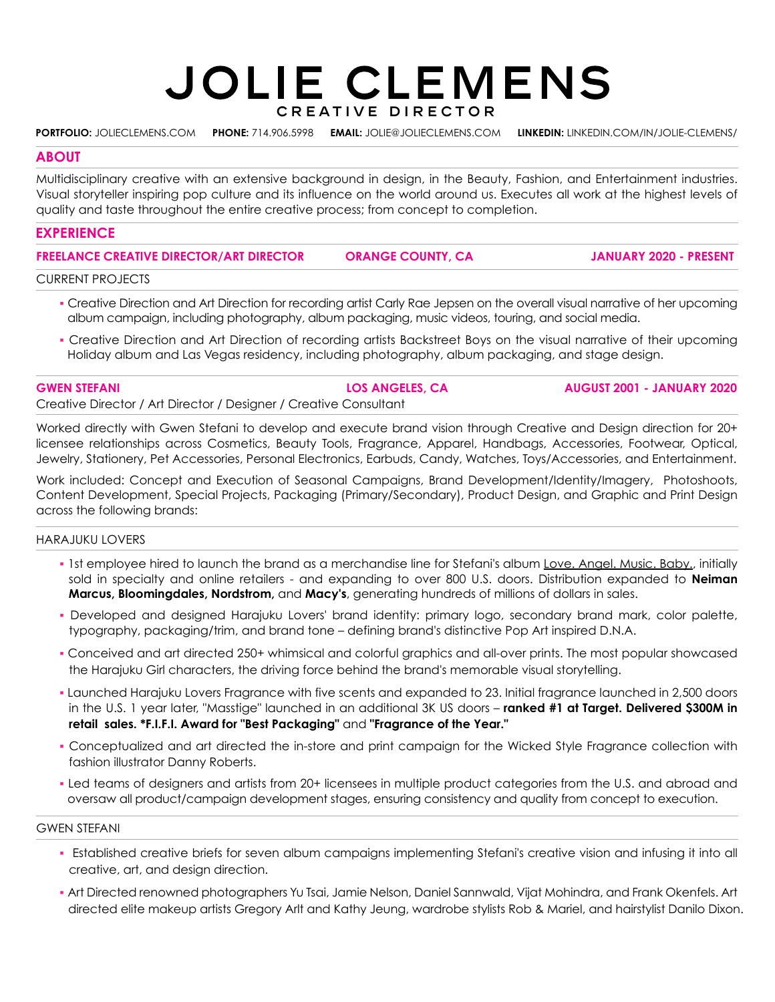# **JOLIE CLEMENS** CREATIVE DIRECTOR

**PORTFOLIO:** [JOLIECLEMENS.COM](https://www.jolieclemens.com/) **PHONE:** 714.906.5998 **EMAIL:** JOLIE@JOLIECLEMENS.COM **LINKEDIN:** [LINKEDIN.COM/IN/JOLIE-CLEMENS/](https://www.linkedin.com/in/jolie-clemens/)

#### **ABOUT**

Multidisciplinary creative with an extensive background in design, in the Beauty, Fashion, and Entertainment industries. Visual storyteller inspiring pop culture and its influence on the world around us. Executes all work at the highest levels of quality and taste throughout the entire creative process; from concept to completion.

## **EXPERIENCE**

**FREELANCE CREATIVE DIRECTOR/ART DIRECTOR**

 **ORANGE COUNTY, CA JANUARY 2020 - PRESENT**

CURRENT PROJECTS

- Creative Direction and Art Direction for recording artist Carly Rae Jepsen on the overall visual narrative of her upcoming album campaign, including photography, album packaging, music videos, touring, and social media.
- Creative Direction and Art Direction of recording artists Backstreet Boys on the visual narrative of their upcoming Holiday album and Las Vegas residency, including photography, album packaging, and stage design.

Creative Director / Art Director / Designer / Creative Consultant

Worked directly with Gwen Stefani to develop and execute brand vision through Creative and Design direction for 20+ licensee relationships across Cosmetics, Beauty Tools, Fragrance, Apparel, Handbags, Accessories, Footwear, Optical, Jewelry, Stationery, Pet Accessories, Personal Electronics, Earbuds, Candy, Watches, Toys/Accessories, and Entertainment.

Work included: Concept and Execution of Seasonal Campaigns, Brand Development/Identity/Imagery, Photoshoots, Content Development, Special Projects, Packaging (Primary/Secondary), Product Design, and Graphic and Print Design across the following brands:

### HARAJUKU LOVERS

- 1st employee hired to launch the brand as a merchandise line for Stefani's album Love. Angel. Music. Baby., initially sold in specialty and online retailers - and expanding to over 800 U.S. doors. Distribution expanded to **Neiman Marcus, Bloomingdales, Nordstrom,** and **Macy's**, generating hundreds of millions of dollars in sales.
- Developed and designed Harajuku Lovers' brand identity: primary logo, secondary brand mark, color palette, typography, packaging/trim, and brand tone – defining brand's distinctive Pop Art inspired D.N.A.
- Conceived and art directed 250+ whimsical and colorful graphics and all-over prints. The most popular showcased the Harajuku Girl characters, the driving force behind the brand's memorable visual storytelling.
- Launched Harajuku Lovers Fragrance with five scents and expanded to 23. Initial fragrance launched in 2,500 doors in the U.S. 1 year later, "Masstige" launched in an additional 3K US doors – **ranked #1 at Target. Delivered \$300M in retail sales. \*F.I.F.I. Award for "Best Packaging"** and **"Fragrance of the Year."**
- Conceptualized and art directed the in-store and print campaign for the Wicked Style Fragrance collection with fashion illustrator Danny Roberts.
- Led teams of designers and artists from 20+ licensees in multiple product categories from the U.S. and abroad and oversaw all product/campaign development stages, ensuring consistency and quality from concept to execution.

#### GWEN STEFANI

- Established creative briefs for seven album campaigns implementing Stefani's creative vision and infusing it into all creative, art, and design direction.
- Art Directed renowned photographers Yu Tsai, Jamie Nelson, Daniel Sannwald, Vijat Mohindra, and Frank Okenfels. Art directed elite makeup artists Gregory Arlt and Kathy Jeung, wardrobe stylists Rob & Mariel, and hairstylist Danilo Dixon.

#### **LOS ANGELES, CA**

**GWEN STEFANI AUGUST 2001 - JANUARY 2020**